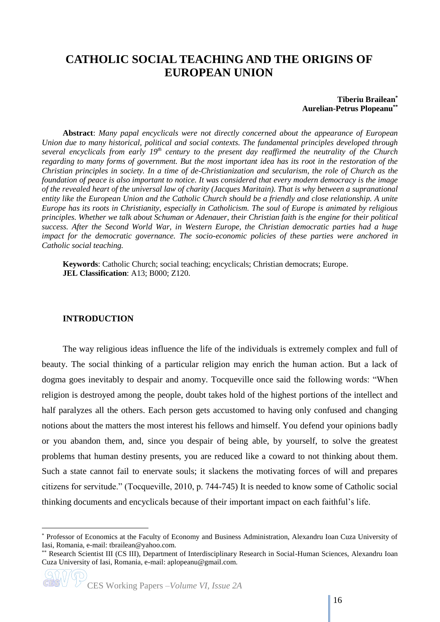# **CATHOLIC SOCIAL TEACHING AND THE ORIGINS OF EUROPEAN UNION**

## **Tiberiu Brailean\* Aurelian-Petrus Plopeanu\*\***

**Abstract**: *Many papal encyclicals were not directly concerned about the appearance of European Union due to many historical, political and social contexts. The fundamental principles developed through several encyclicals from early 19th century to the present day reaffirmed the neutrality of the Church regarding to many forms of government. But the most important idea has its root in the restoration of the Christian principles in society. In a time of de-Christianization and secularism, the role of Church as the foundation of peace is also important to notice. It was considered that every modern democracy is the image of the revealed heart of the universal law of charity (Jacques Maritain). That is why between a supranational entity like the European Union and the Catholic Church should be a friendly and close relationship. A unite Europe has its roots in Christianity, especially in Catholicism. The soul of Europe is animated by religious principles. Whether we talk about Schuman or Adenauer, their Christian faith is the engine for their political success. After the Second World War, in Western Europe, the Christian democratic parties had a huge impact for the democratic governance. The socio-economic policies of these parties were anchored in Catholic social teaching.* 

**Keywords**: Catholic Church; social teaching; encyclicals; Christian democrats; Europe. **JEL Classification**: A13; B000; Z120.

## **INTRODUCTION**

<u>.</u>

The way religious ideas influence the life of the individuals is extremely complex and full of beauty. The social thinking of a particular religion may enrich the human action. But a lack of dogma goes inevitably to despair and anomy. Tocqueville once said the following words: "When religion is destroyed among the people, doubt takes hold of the highest portions of the intellect and half paralyzes all the others. Each person gets accustomed to having only confused and changing notions about the matters the most interest his fellows and himself. You defend your opinions badly or you abandon them, and, since you despair of being able, by yourself, to solve the greatest problems that human destiny presents, you are reduced like a coward to not thinking about them. Such a state cannot fail to enervate souls; it slackens the motivating forces of will and prepares citizens for servitude." (Tocqueville, 2010, p. 744-745) It is needed to know some of Catholic social thinking documents and encyclicals because of their important impact on each faithful's life.

<sup>\*</sup> Professor of Economics at the Faculty of Economy and Business Administration, Alexandru Ioan Cuza University of Iasi, Romania, e-mail: tbrailean@yahoo.com.

<sup>\*\*</sup> Research Scientist III (CS III), Department of Interdisciplinary Research in Social-Human Sciences, Alexandru Ioan Cuza University of Iasi, Romania, e-mail: aplopeanu@gmail.com.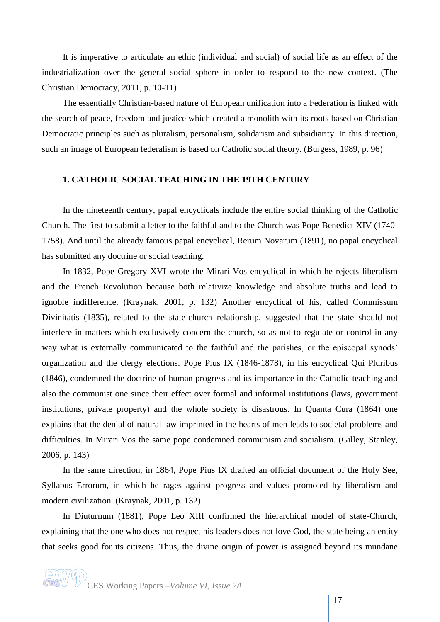It is imperative to articulate an ethic (individual and social) of social life as an effect of the industrialization over the general social sphere in order to respond to the new context. (The Christian Democracy, 2011, p. 10-11)

The essentially Christian-based nature of European unification into a Federation is linked with the search of peace, freedom and justice which created a monolith with its roots based on Christian Democratic principles such as pluralism, personalism, solidarism and subsidiarity. In this direction, such an image of European federalism is based on Catholic social theory. (Burgess, 1989, p. 96)

## **1. CATHOLIC SOCIAL TEACHING IN THE 19TH CENTURY**

In the nineteenth century, papal encyclicals include the entire social thinking of the Catholic Church. The first to submit a letter to the faithful and to the Church was Pope Benedict XIV (1740- 1758). And until the already famous papal encyclical, Rerum Novarum (1891), no papal encyclical has submitted any doctrine or social teaching.

In 1832, Pope Gregory XVI wrote the Mirari Vos encyclical in which he rejects liberalism and the French Revolution because both relativize knowledge and absolute truths and lead to ignoble indifference. (Kraynak, 2001, p. 132) Another encyclical of his, called Commissum Divinitatis (1835), related to the state-church relationship, suggested that the state should not interfere in matters which exclusively concern the church, so as not to regulate or control in any way what is externally communicated to the faithful and the parishes, or the episcopal synods' organization and the clergy elections. Pope Pius IX (1846-1878), in his encyclical Qui Pluribus (1846), condemned the doctrine of human progress and its importance in the Catholic teaching and also the communist one since their effect over formal and informal institutions (laws, government institutions, private property) and the whole society is disastrous. In Quanta Cura (1864) one explains that the denial of natural law imprinted in the hearts of men leads to societal problems and difficulties. In Mirari Vos the same pope condemned communism and socialism. (Gilley, Stanley, 2006, p. 143)

In the same direction, in 1864, Pope Pius IX drafted an official document of the Holy See, Syllabus Errorum, in which he rages against progress and values promoted by liberalism and modern civilization. (Kraynak, 2001, p. 132)

In Diuturnum (1881), Pope Leo XIII confirmed the hierarchical model of state-Church, explaining that the one who does not respect his leaders does not love God, the state being an entity that seeks good for its citizens. Thus, the divine origin of power is assigned beyond its mundane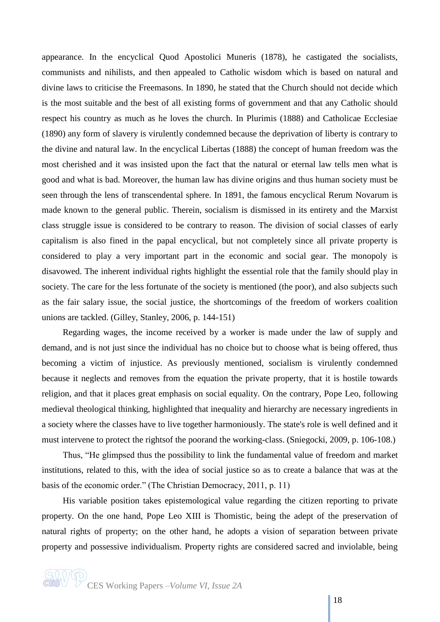appearance. In the encyclical Quod Apostolici Muneris (1878), he castigated the socialists, communists and nihilists, and then appealed to Catholic wisdom which is based on natural and divine laws to criticise the Freemasons. In 1890, he stated that the Church should not decide which is the most suitable and the best of all existing forms of government and that any Catholic should respect his country as much as he loves the church. In Plurimis (1888) and Catholicae Ecclesiae (1890) any form of slavery is virulently condemned because the deprivation of liberty is contrary to the divine and natural law. In the encyclical Libertas (1888) the concept of human freedom was the most cherished and it was insisted upon the fact that the natural or eternal law tells men what is good and what is bad. Moreover, the human law has divine origins and thus human society must be seen through the lens of transcendental sphere. In 1891, the famous encyclical Rerum Novarum is made known to the general public. Therein, socialism is dismissed in its entirety and the Marxist class struggle issue is considered to be contrary to reason. The division of social classes of early capitalism is also fined in the papal encyclical, but not completely since all private property is considered to play a very important part in the economic and social gear. The monopoly is disavowed. The inherent individual rights highlight the essential role that the family should play in society. The care for the less fortunate of the society is mentioned (the poor), and also subjects such as the fair salary issue, the social justice, the shortcomings of the freedom of workers coalition unions are tackled. (Gilley, Stanley, 2006, p. 144-151)

Regarding wages, the income received by a worker is made under the law of supply and demand, and is not just since the individual has no choice but to choose what is being offered, thus becoming a victim of injustice. As previously mentioned, socialism is virulently condemned because it neglects and removes from the equation the private property, that it is hostile towards religion, and that it places great emphasis on social equality. On the contrary, Pope Leo, following medieval theological thinking, highlighted that inequality and hierarchy are necessary ingredients in a society where the classes have to live together harmoniously. The state's role is well defined and it must intervene to protect the rightsof the poorand the working-class. (Sniegocki, 2009, p. 106-108.)

Thus, "He glimpsed thus the possibility to link the fundamental value of freedom and market institutions, related to this, with the idea of social justice so as to create a balance that was at the basis of the economic order." (The Christian Democracy, 2011, p. 11)

His variable position takes epistemological value regarding the citizen reporting to private property. On the one hand, Pope Leo XIII is Thomistic, being the adept of the preservation of natural rights of property; on the other hand, he adopts a vision of separation between private property and possessive individualism. Property rights are considered sacred and inviolable, being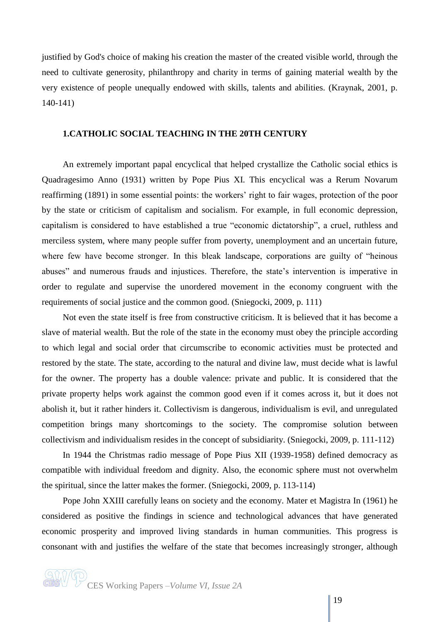justified by God's choice of making his creation the master of the created visible world, through the need to cultivate generosity, philanthropy and charity in terms of gaining material wealth by the very existence of people unequally endowed with skills, talents and abilities. (Kraynak, 2001, p. 140-141)

## **1.CATHOLIC SOCIAL TEACHING IN THE 20TH CENTURY**

An extremely important papal encyclical that helped crystallize the Catholic social ethics is Quadragesimo Anno (1931) written by Pope Pius XI. This encyclical was a Rerum Novarum reaffirming (1891) in some essential points: the workers' right to fair wages, protection of the poor by the state or criticism of capitalism and socialism. For example, in full economic depression, capitalism is considered to have established a true "economic dictatorship", a cruel, ruthless and merciless system, where many people suffer from poverty, unemployment and an uncertain future, where few have become stronger. In this bleak landscape, corporations are guilty of "heinous abuses" and numerous frauds and injustices. Therefore, the state's intervention is imperative in order to regulate and supervise the unordered movement in the economy congruent with the requirements of social justice and the common good. (Sniegocki, 2009, p. 111)

Not even the state itself is free from constructive criticism. It is believed that it has become a slave of material wealth. But the role of the state in the economy must obey the principle according to which legal and social order that circumscribe to economic activities must be protected and restored by the state. The state, according to the natural and divine law, must decide what is lawful for the owner. The property has a double valence: private and public. It is considered that the private property helps work against the common good even if it comes across it, but it does not abolish it, but it rather hinders it. Collectivism is dangerous, individualism is evil, and unregulated competition brings many shortcomings to the society. The compromise solution between collectivism and individualism resides in the concept of subsidiarity. (Sniegocki, 2009, p. 111-112)

In 1944 the Christmas radio message of Pope Pius XII (1939-1958) defined democracy as compatible with individual freedom and dignity. Also, the economic sphere must not overwhelm the spiritual, since the latter makes the former. (Sniegocki, 2009, p. 113-114)

Pope John XXIII carefully leans on society and the economy. Mater et Magistra In (1961) he considered as positive the findings in science and technological advances that have generated economic prosperity and improved living standards in human communities. This progress is consonant with and justifies the welfare of the state that becomes increasingly stronger, although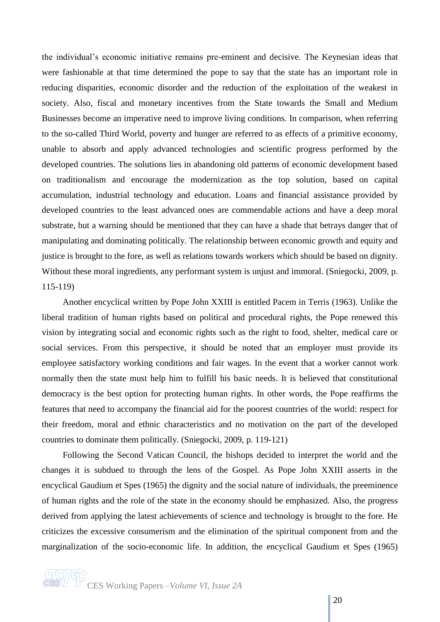the individual's economic initiative remains pre-eminent and decisive. The Keynesian ideas that were fashionable at that time determined the pope to say that the state has an important role in reducing disparities, economic disorder and the reduction of the exploitation of the weakest in society. Also, fiscal and monetary incentives from the State towards the Small and Medium Businesses become an imperative need to improve living conditions. In comparison, when referring to the so-called Third World, poverty and hunger are referred to as effects of a primitive economy, unable to absorb and apply advanced technologies and scientific progress performed by the developed countries. The solutions lies in abandoning old patterns of economic development based on traditionalism and encourage the modernization as the top solution, based on capital accumulation, industrial technology and education. Loans and financial assistance provided by developed countries to the least advanced ones are commendable actions and have a deep moral substrate, but a warning should be mentioned that they can have a shade that betrays danger that of manipulating and dominating politically. The relationship between economic growth and equity and justice is brought to the fore, as well as relations towards workers which should be based on dignity. Without these moral ingredients, any performant system is unjust and immoral. (Sniegocki, 2009, p. 115-119)

Another encyclical written by Pope John XXIII is entitled Pacem in Terris (1963). Unlike the liberal tradition of human rights based on political and procedural rights, the Pope renewed this vision by integrating social and economic rights such as the right to food, shelter, medical care or social services. From this perspective, it should be noted that an employer must provide its employee satisfactory working conditions and fair wages. In the event that a worker cannot work normally then the state must help him to fulfill his basic needs. It is believed that constitutional democracy is the best option for protecting human rights. In other words, the Pope reaffirms the features that need to accompany the financial aid for the poorest countries of the world: respect for their freedom, moral and ethnic characteristics and no motivation on the part of the developed countries to dominate them politically. (Sniegocki, 2009, p. 119-121)

Following the Second Vatican Council, the bishops decided to interpret the world and the changes it is subdued to through the lens of the Gospel. As Pope John XXIII asserts in the encyclical Gaudium et Spes (1965) the dignity and the social nature of individuals, the preeminence of human rights and the role of the state in the economy should be emphasized. Also, the progress derived from applying the latest achievements of science and technology is brought to the fore. He criticizes the excessive consumerism and the elimination of the spiritual component from and the marginalization of the socio-economic life. In addition, the encyclical Gaudium et Spes (1965)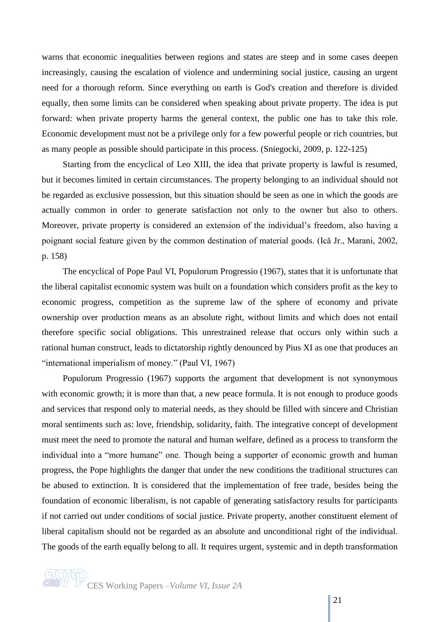warns that economic inequalities between regions and states are steep and in some cases deepen increasingly, causing the escalation of violence and undermining social justice, causing an urgent need for a thorough reform. Since everything on earth is God's creation and therefore is divided equally, then some limits can be considered when speaking about private property. The idea is put forward: when private property harms the general context, the public one has to take this role. Economic development must not be a privilege only for a few powerful people or rich countries, but as many people as possible should participate in this process. (Sniegocki, 2009, p. 122-125)

Starting from the encyclical of Leo XIII, the idea that private property is lawful is resumed, but it becomes limited in certain circumstances. The property belonging to an individual should not be regarded as exclusive possession, but this situation should be seen as one in which the goods are actually common in order to generate satisfaction not only to the owner but also to others. Moreover, private property is considered an extension of the individual's freedom, also having a poignant social feature given by the common destination of material goods. (Ică Jr., Marani, 2002, p. 158)

The encyclical of Pope Paul VI, Populorum Progressio (1967), states that it is unfortunate that the liberal capitalist economic system was built on a foundation which considers profit as the key to economic progress, competition as the supreme law of the sphere of economy and private ownership over production means as an absolute right, without limits and which does not entail therefore specific social obligations. This unrestrained release that occurs only within such a rational human construct, leads to dictatorship rightly denounced by Pius XI as one that produces an "international imperialism of money." (Paul VI, 1967)

Populorum Progressio (1967) supports the argument that development is not synonymous with economic growth; it is more than that, a new peace formula. It is not enough to produce goods and services that respond only to material needs, as they should be filled with sincere and Christian moral sentiments such as: love, friendship, solidarity, faith. The integrative concept of development must meet the need to promote the natural and human welfare, defined as a process to transform the individual into a "more humane" one. Though being a supporter of economic growth and human progress, the Pope highlights the danger that under the new conditions the traditional structures can be abused to extinction. It is considered that the implementation of free trade, besides being the foundation of economic liberalism, is not capable of generating satisfactory results for participants if not carried out under conditions of social justice. Private property, another constituent element of liberal capitalism should not be regarded as an absolute and unconditional right of the individual. The goods of the earth equally belong to all. It requires urgent, systemic and in depth transformation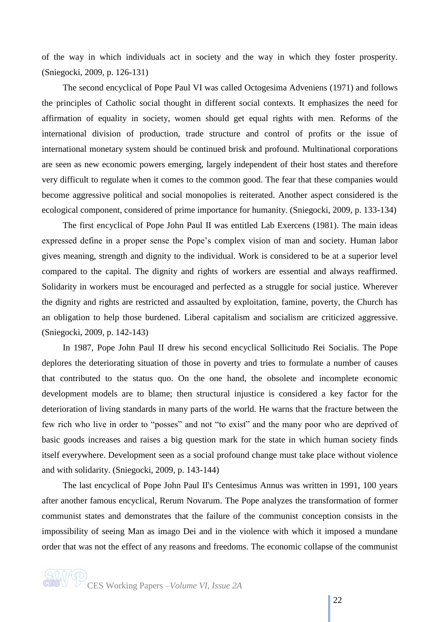of the way in which individuals act in society and the way in which they foster prosperity. (Sniegocki, 2009, p. 126-131)

The second encyclical of Pope Paul VI was called Octogesima Adveniens (1971) and follows the principles of Catholic social thought in different social contexts. It emphasizes the need for affirmation of equality in society, women should get equal rights with men. Reforms of the international division of production, trade structure and control of profits or the issue of international monetary system should be continued brisk and profound. Multinational corporations are seen as new economic powers emerging, largely independent of their host states and therefore very difficult to regulate when it comes to the common good. The fear that these companies would become aggressive political and social monopolies is reiterated. Another aspect considered is the ecological component, considered of prime importance for humanity. (Sniegocki, 2009, p. 133-134)

The first encyclical of Pope John Paul II was entitled Lab Exercens (1981). The main ideas expressed define in a proper sense the Pope's complex vision of man and society. Human labor gives meaning, strength and dignity to the individual. Work is considered to be at a superior level compared to the capital. The dignity and rights of workers are essential and always reaffirmed. Solidarity in workers must be encouraged and perfected as a struggle for social justice. Wherever the dignity and rights are restricted and assaulted by exploitation, famine, poverty, the Church has an obligation to help those burdened. Liberal capitalism and socialism are criticized aggressive. (Sniegocki, 2009, p. 142-143)

In 1987, Pope John Paul II drew his second encyclical Sollicitudo Rei Socialis. The Pope deplores the deteriorating situation of those in poverty and tries to formulate a number of causes that contributed to the status quo. On the one hand, the obsolete and incomplete economic development models are to blame; then structural injustice is considered a key factor for the deterioration of living standards in many parts of the world. He warns that the fracture between the few rich who live in order to "posses" and not "to exist" and the many poor who are deprived of basic goods increases and raises a big question mark for the state in which human society finds itself everywhere. Development seen as a social profound change must take place without violence and with solidarity. (Sniegocki, 2009, p. 143-144)

The last encyclical of Pope John Paul II's Centesimus Annus was written in 1991, 100 years after another famous encyclical, Rerum Novarum. The Pope analyzes the transformation of former communist states and demonstrates that the failure of the communist conception consists in the impossibility of seeing Man as imago Dei and in the violence with which it imposed a mundane order that was not the effect of any reasons and freedoms. The economic collapse of the communist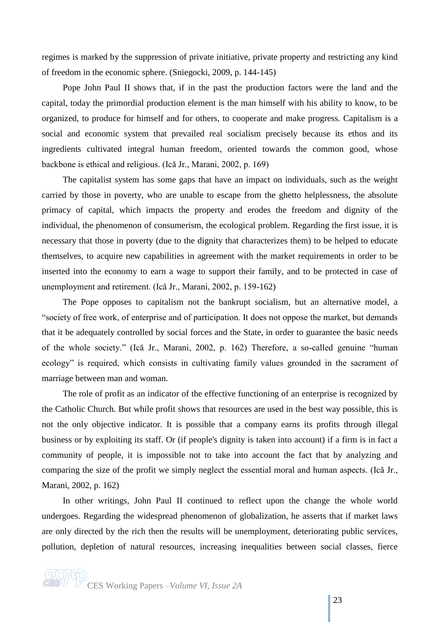regimes is marked by the suppression of private initiative, private property and restricting any kind of freedom in the economic sphere. (Sniegocki, 2009, p. 144-145)

Pope John Paul II shows that, if in the past the production factors were the land and the capital, today the primordial production element is the man himself with his ability to know, to be organized, to produce for himself and for others, to cooperate and make progress. Capitalism is a social and economic system that prevailed real socialism precisely because its ethos and its ingredients cultivated integral human freedom, oriented towards the common good, whose backbone is ethical and religious. (Ică Jr., Marani, 2002, p. 169)

The capitalist system has some gaps that have an impact on individuals, such as the weight carried by those in poverty, who are unable to escape from the ghetto helplessness, the absolute primacy of capital, which impacts the property and erodes the freedom and dignity of the individual, the phenomenon of consumerism, the ecological problem. Regarding the first issue, it is necessary that those in poverty (due to the dignity that characterizes them) to be helped to educate themselves, to acquire new capabilities in agreement with the market requirements in order to be inserted into the economy to earn a wage to support their family, and to be protected in case of unemployment and retirement. (Ică Jr., Marani, 2002, p. 159-162)

The Pope opposes to capitalism not the bankrupt socialism, but an alternative model, a "society of free work, of enterprise and of participation. It does not oppose the market, but demands that it be adequately controlled by social forces and the State, in order to guarantee the basic needs of the whole society." (Ică Jr., Marani, 2002, p. 162) Therefore, a so-called genuine "human ecology" is required, which consists in cultivating family values grounded in the sacrament of marriage between man and woman.

The role of profit as an indicator of the effective functioning of an enterprise is recognized by the Catholic Church. But while profit shows that resources are used in the best way possible, this is not the only objective indicator. It is possible that a company earns its profits through illegal business or by exploiting its staff. Or (if people's dignity is taken into account) if a firm is in fact a community of people, it is impossible not to take into account the fact that by analyzing and comparing the size of the profit we simply neglect the essential moral and human aspects. (Ică Jr., Marani, 2002, p. 162)

In other writings, John Paul II continued to reflect upon the change the whole world undergoes. Regarding the widespread phenomenon of globalization, he asserts that if market laws are only directed by the rich then the results will be unemployment, deteriorating public services, pollution, depletion of natural resources, increasing inequalities between social classes, fierce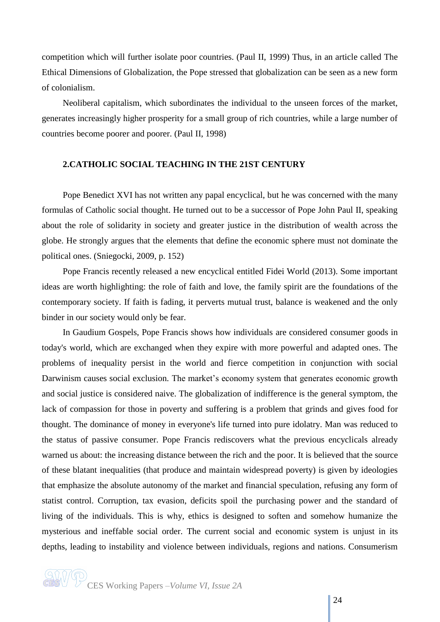competition which will further isolate poor countries. (Paul II, 1999) Thus, in an article called The Ethical Dimensions of Globalization, the Pope stressed that globalization can be seen as a new form of colonialism.

Neoliberal capitalism, which subordinates the individual to the unseen forces of the market, generates increasingly higher prosperity for a small group of rich countries, while a large number of countries become poorer and poorer. (Paul II, 1998)

## **2.CATHOLIC SOCIAL TEACHING IN THE 21ST CENTURY**

Pope Benedict XVI has not written any papal encyclical, but he was concerned with the many formulas of Catholic social thought. He turned out to be a successor of Pope John Paul II, speaking about the role of solidarity in society and greater justice in the distribution of wealth across the globe. He strongly argues that the elements that define the economic sphere must not dominate the political ones. (Sniegocki, 2009, p. 152)

Pope Francis recently released a new encyclical entitled Fidei World (2013). Some important ideas are worth highlighting: the role of faith and love, the family spirit are the foundations of the contemporary society. If faith is fading, it perverts mutual trust, balance is weakened and the only binder in our society would only be fear.

In Gaudium Gospels, Pope Francis shows how individuals are considered consumer goods in today's world, which are exchanged when they expire with more powerful and adapted ones. The problems of inequality persist in the world and fierce competition in conjunction with social Darwinism causes social exclusion. The market's economy system that generates economic growth and social justice is considered naive. The globalization of indifference is the general symptom, the lack of compassion for those in poverty and suffering is a problem that grinds and gives food for thought. The dominance of money in everyone's life turned into pure idolatry. Man was reduced to the status of passive consumer. Pope Francis rediscovers what the previous encyclicals already warned us about: the increasing distance between the rich and the poor. It is believed that the source of these blatant inequalities (that produce and maintain widespread poverty) is given by ideologies that emphasize the absolute autonomy of the market and financial speculation, refusing any form of statist control. Corruption, tax evasion, deficits spoil the purchasing power and the standard of living of the individuals. This is why, ethics is designed to soften and somehow humanize the mysterious and ineffable social order. The current social and economic system is unjust in its depths, leading to instability and violence between individuals, regions and nations. Consumerism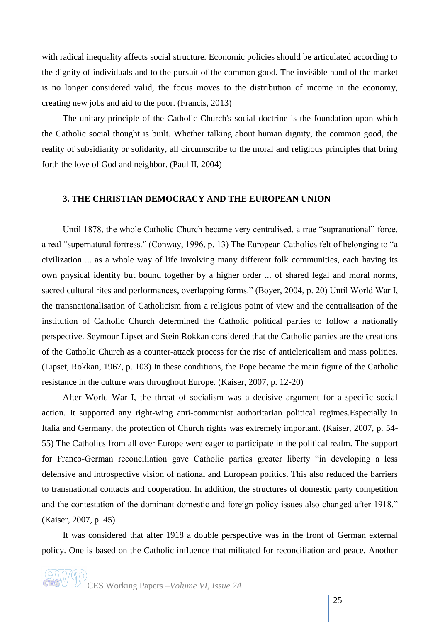with radical inequality affects social structure. Economic policies should be articulated according to the dignity of individuals and to the pursuit of the common good. The invisible hand of the market is no longer considered valid, the focus moves to the distribution of income in the economy, creating new jobs and aid to the poor. (Francis, 2013)

The unitary principle of the Catholic Church's social doctrine is the foundation upon which the Catholic social thought is built. Whether talking about human dignity, the common good, the reality of subsidiarity or solidarity, all circumscribe to the moral and religious principles that bring forth the love of God and neighbor. (Paul II, 2004)

# **3. THE CHRISTIAN DEMOCRACY AND THE EUROPEAN UNION**

Until 1878, the whole Catholic Church became very centralised, a true "supranational" force, a real "supernatural fortress." (Conway, 1996, p. 13) The European Catholics felt of belonging to "a civilization ... as a whole way of life involving many different folk communities, each having its own physical identity but bound together by a higher order ... of shared legal and moral norms, sacred cultural rites and performances, overlapping forms." (Boyer, 2004, p. 20) Until World War I, the transnationalisation of Catholicism from a religious point of view and the centralisation of the institution of Catholic Church determined the Catholic political parties to follow a nationally perspective. Seymour Lipset and Stein Rokkan considered that the Catholic parties are the creations of the Catholic Church as a counter-attack process for the rise of anticlericalism and mass politics. (Lipset, Rokkan, 1967, p. 103) In these conditions, the Pope became the main figure of the Catholic resistance in the culture wars throughout Europe. (Kaiser, 2007, p. 12-20)

After World War I, the threat of socialism was a decisive argument for a specific social action. It supported any right-wing anti-communist authoritarian political regimes.Especially in Italia and Germany, the protection of Church rights was extremely important. (Kaiser, 2007, p. 54- 55) The Catholics from all over Europe were eager to participate in the political realm. The support for Franco-German reconciliation gave Catholic parties greater liberty "in developing a less defensive and introspective vision of national and European politics. This also reduced the barriers to transnational contacts and cooperation. In addition, the structures of domestic party competition and the contestation of the dominant domestic and foreign policy issues also changed after 1918." (Kaiser, 2007, p. 45)

It was considered that after 1918 a double perspective was in the front of German external policy. One is based on the Catholic influence that militated for reconciliation and peace. Another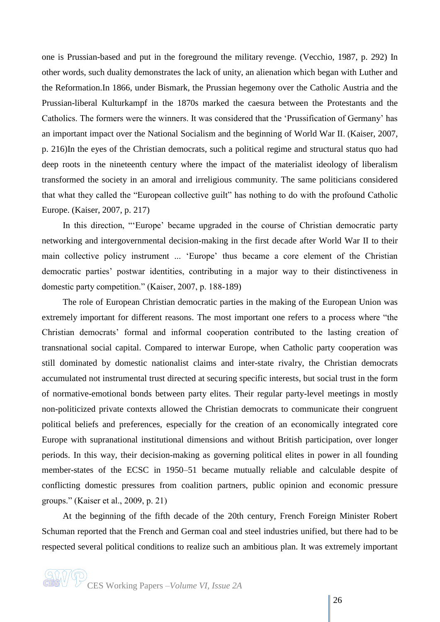one is Prussian-based and put in the foreground the military revenge. (Vecchio, 1987, p. 292) In other words, such duality demonstrates the lack of unity, an alienation which began with Luther and the Reformation.In 1866, under Bismark, the Prussian hegemony over the Catholic Austria and the Prussian-liberal Kulturkampf in the 1870s marked the caesura between the Protestants and the Catholics. The formers were the winners. It was considered that the 'Prussification of Germany' has an important impact over the National Socialism and the beginning of World War II. (Kaiser, 2007, p. 216)In the eyes of the Christian democrats, such a political regime and structural status quo had deep roots in the nineteenth century where the impact of the materialist ideology of liberalism transformed the society in an amoral and irreligious community. The same politicians considered that what they called the "European collective guilt" has nothing to do with the profound Catholic Europe. (Kaiser, 2007, p. 217)

In this direction, "'Europe' became upgraded in the course of Christian democratic party networking and intergovernmental decision-making in the first decade after World War II to their main collective policy instrument ... 'Europe' thus became a core element of the Christian democratic parties' postwar identities, contributing in a major way to their distinctiveness in domestic party competition." (Kaiser, 2007, p. 188-189)

The role of European Christian democratic parties in the making of the European Union was extremely important for different reasons. The most important one refers to a process where "the Christian democrats' formal and informal cooperation contributed to the lasting creation of transnational social capital. Compared to interwar Europe, when Catholic party cooperation was still dominated by domestic nationalist claims and inter-state rivalry, the Christian democrats accumulated not instrumental trust directed at securing specific interests, but social trust in the form of normative-emotional bonds between party elites. Their regular party-level meetings in mostly non-politicized private contexts allowed the Christian democrats to communicate their congruent political beliefs and preferences, especially for the creation of an economically integrated core Europe with supranational institutional dimensions and without British participation, over longer periods. In this way, their decision-making as governing political elites in power in all founding member-states of the ECSC in 1950–51 became mutually reliable and calculable despite of conflicting domestic pressures from coalition partners, public opinion and economic pressure groups." (Kaiser et al., 2009, p. 21)

At the beginning of the fifth decade of the 20th century, French Foreign Minister Robert Schuman reported that the French and German coal and steel industries unified, but there had to be respected several political conditions to realize such an ambitious plan. It was extremely important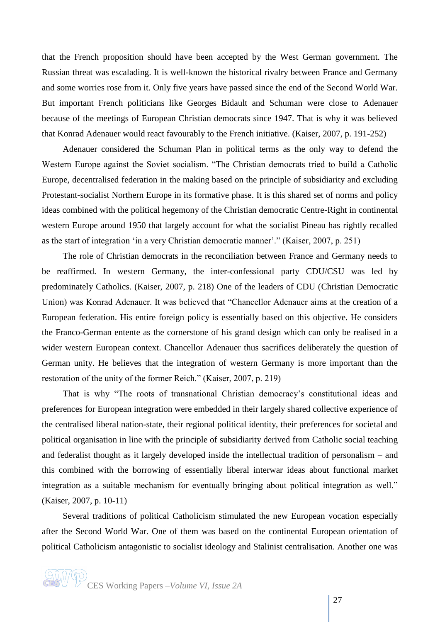that the French proposition should have been accepted by the West German government. The Russian threat was escalading. It is well-known the historical rivalry between France and Germany and some worries rose from it. Only five years have passed since the end of the Second World War. But important French politicians like Georges Bidault and Schuman were close to Adenauer because of the meetings of European Christian democrats since 1947. That is why it was believed that Konrad Adenauer would react favourably to the French initiative. (Kaiser, 2007, p. 191-252)

Adenauer considered the Schuman Plan in political terms as the only way to defend the Western Europe against the Soviet socialism. "The Christian democrats tried to build a Catholic Europe, decentralised federation in the making based on the principle of subsidiarity and excluding Protestant-socialist Northern Europe in its formative phase. It is this shared set of norms and policy ideas combined with the political hegemony of the Christian democratic Centre-Right in continental western Europe around 1950 that largely account for what the socialist Pineau has rightly recalled as the start of integration 'in a very Christian democratic manner'." (Kaiser, 2007, p. 251)

The role of Christian democrats in the reconciliation between France and Germany needs to be reaffirmed. In western Germany, the inter-confessional party CDU/CSU was led by predominately Catholics. (Kaiser, 2007, p. 218) One of the leaders of CDU [\(Christian Democratic](http://en.wikipedia.org/wiki/Christian_Democratic_Union_(Germany))  [Union\)](http://en.wikipedia.org/wiki/Christian_Democratic_Union_(Germany)) was Konrad Adenauer. It was believed that "Chancellor Adenauer aims at the creation of a European federation. His entire foreign policy is essentially based on this objective. He considers the Franco-German entente as the cornerstone of his grand design which can only be realised in a wider western European context. Chancellor Adenauer thus sacrifices deliberately the question of German unity. He believes that the integration of western Germany is more important than the restoration of the unity of the former Reich." (Kaiser, 2007, p. 219)

That is why "The roots of transnational Christian democracy's constitutional ideas and preferences for European integration were embedded in their largely shared collective experience of the centralised liberal nation-state, their regional political identity, their preferences for societal and political organisation in line with the principle of subsidiarity derived from Catholic social teaching and federalist thought as it largely developed inside the intellectual tradition of personalism – and this combined with the borrowing of essentially liberal interwar ideas about functional market integration as a suitable mechanism for eventually bringing about political integration as well." (Kaiser, 2007, p. 10-11)

Several traditions of political Catholicism stimulated the new European vocation especially after the Second World War. One of them was based on the continental European orientation of political Catholicism antagonistic to socialist ideology and Stalinist centralisation. Another one was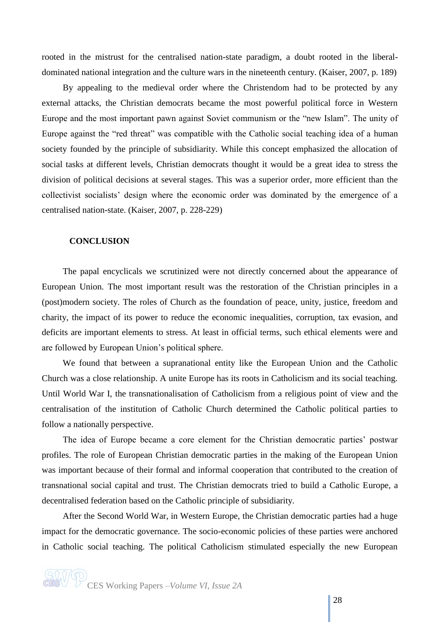rooted in the mistrust for the centralised nation-state paradigm, a doubt rooted in the liberaldominated national integration and the culture wars in the nineteenth century. (Kaiser, 2007, p. 189)

By appealing to the medieval order where the Christendom had to be protected by any external attacks, the Christian democrats became the most powerful political force in Western Europe and the most important pawn against Soviet communism or the "new Islam". The unity of Europe against the "red threat" was compatible with the Catholic social teaching idea of a human society founded by the principle of subsidiarity. While this concept emphasized the allocation of social tasks at different levels, Christian democrats thought it would be a great idea to stress the division of political decisions at several stages. This was a superior order, more efficient than the collectivist socialists' design where the economic order was dominated by the emergence of a centralised nation-state. (Kaiser, 2007, p. 228-229)

#### **CONCLUSION**

The papal encyclicals we scrutinized were not directly concerned about the appearance of European Union. The most important result was the restoration of the Christian principles in a (post)modern society. The roles of Church as the foundation of peace, unity, justice, freedom and charity, the impact of its power to reduce the economic inequalities, corruption, tax evasion, and deficits are important elements to stress. At least in official terms, such ethical elements were and are followed by European Union's political sphere.

We found that between a supranational entity like the European Union and the Catholic Church was a close relationship. A unite Europe has its roots in Catholicism and its social teaching. Until World War I, the transnationalisation of Catholicism from a religious point of view and the centralisation of the institution of Catholic Church determined the Catholic political parties to follow a nationally perspective.

The idea of Europe became a core element for the Christian democratic parties' postwar profiles. The role of European Christian democratic parties in the making of the European Union was important because of their formal and informal cooperation that contributed to the creation of transnational social capital and trust. The Christian democrats tried to build a Catholic Europe, a decentralised federation based on the Catholic principle of subsidiarity.

After the Second World War, in Western Europe, the Christian democratic parties had a huge impact for the democratic governance. The socio-economic policies of these parties were anchored in Catholic social teaching. The political Catholicism stimulated especially the new European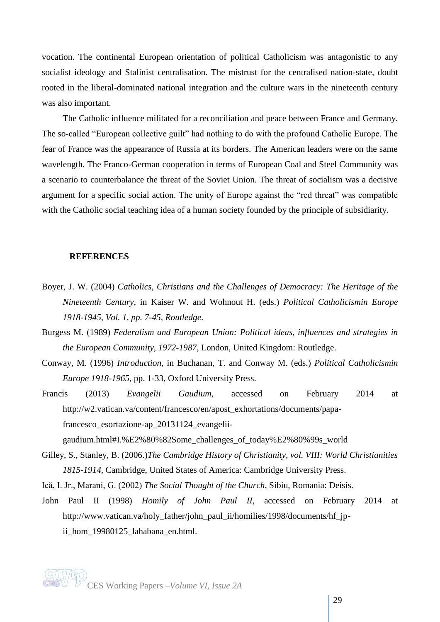vocation. The continental European orientation of political Catholicism was antagonistic to any socialist ideology and Stalinist centralisation. The mistrust for the centralised nation-state, doubt rooted in the liberal-dominated national integration and the culture wars in the nineteenth century was also important.

The Catholic influence militated for a reconciliation and peace between France and Germany. The so-called "European collective guilt" had nothing to do with the profound Catholic Europe. The fear of France was the appearance of Russia at its borders. The American leaders were on the same wavelength. The Franco-German cooperation in terms of [European Coal and Steel Community](http://en.wikipedia.org/wiki/European_Coal_and_Steel_Community) was a scenario to counterbalance the threat of the Soviet Union. The threat of socialism was a decisive argument for a specific social action. The unity of Europe against the "red threat" was compatible with the Catholic social teaching idea of a human society founded by the principle of subsidiarity.

#### **REFERENCES**

- Boyer, J. W. (2004) *Catholics, Christians and the Challenges of Democracy: The Heritage of the Nineteenth Century*, in Kaiser W. and Wohnout H. (eds.) *Political Catholicismin Europe 1918-1945, Vol. 1, pp. 7-45, Routledge*.
- Burgess M. (1989) *Federalism and European Union: Political ideas, influences and strategies in the European Community, 1972-1987*, London, United Kingdom: Routledge.
- Conway, M. (1996) *Introduction*, in Buchanan, T. and Conway M. (eds.) *Political Catholicismin Europe 1918-1965,* pp. 1-33, Oxford University Press.
- Francis (2013) *Evangelii Gaudium*, accessed on February 2014 at [http://w2.vatican.va/content/francesco/en/apost\\_exhortations/documents/papa](http://w2.vatican.va/content/francesco/en/apost_exhortations/documents/papa-francesco_esortazione-ap_20131124_evangelii-gaudium.html#I.%E2%80%82Some_challenges_of_today%E2%80%99s_world)[francesco\\_esortazione-ap\\_20131124\\_evangelii](http://w2.vatican.va/content/francesco/en/apost_exhortations/documents/papa-francesco_esortazione-ap_20131124_evangelii-gaudium.html#I.%E2%80%82Some_challenges_of_today%E2%80%99s_world)[gaudium.html#I.%E2%80%82Some\\_challenges\\_of\\_today%E2%80%99s\\_world](http://w2.vatican.va/content/francesco/en/apost_exhortations/documents/papa-francesco_esortazione-ap_20131124_evangelii-gaudium.html#I.%E2%80%82Some_challenges_of_today%E2%80%99s_world)
- Gilley, S., Stanley, B. (2006.)*The Cambridge History of Christianity, vol. VIII: World Christianities 1815-1914*, Cambridge, United States of America: Cambridge University Press.
- Ică, I. Jr., Marani, G. (2002) *The Social Thought of the Church*, Sibiu, Romania: Deisis.
- John Paul II (1998) *Homily of John Paul II*, accessed on February 2014 at http://www.vatican.va/holy\_father/john\_paul\_ii/homilies/1998/documents/hf\_jpii\_hom\_19980125\_lahabana\_en.html.